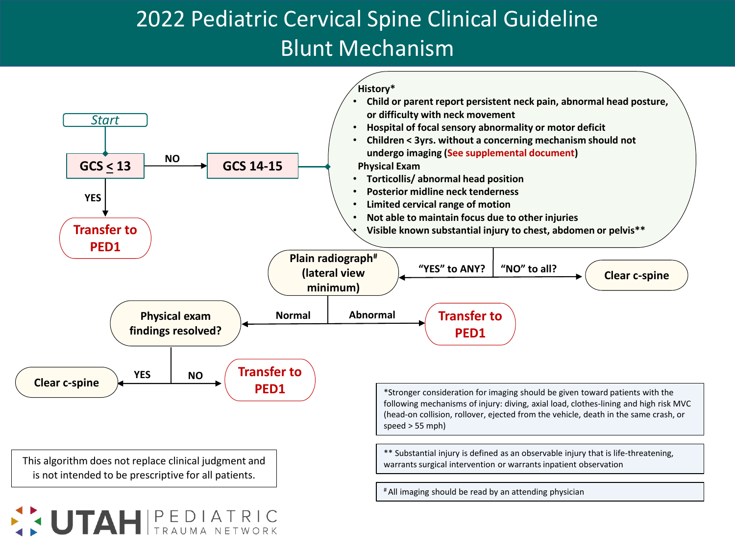## **PCH/St. 2022 Pediatric Cervical Spine Clinical Guideline** Blunt Mechanism